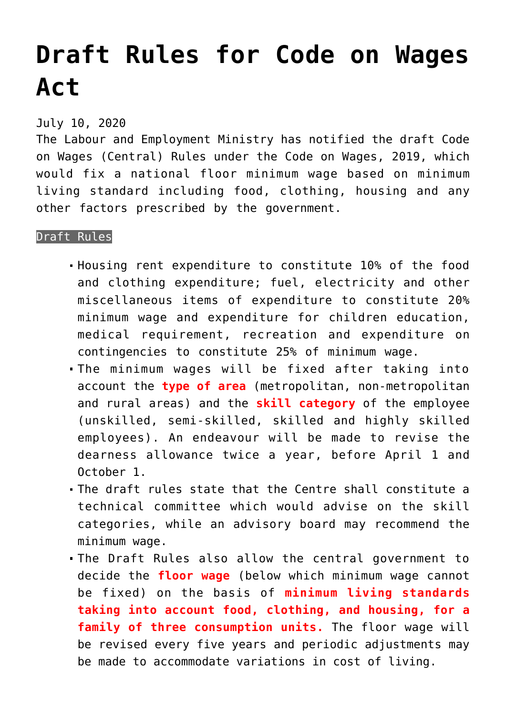## **[Draft Rules for Code on Wages](https://journalsofindia.com/draft-rules-for-code-on-wages-act/) [Act](https://journalsofindia.com/draft-rules-for-code-on-wages-act/)**

## July 10, 2020

The Labour and Employment Ministry has notified the draft Code on Wages (Central) Rules under the Code on Wages, 2019, which would fix a national floor minimum wage based on minimum living standard including food, clothing, housing and any other factors prescribed by the government.

## Draft Rules

- Housing rent expenditure to constitute 10% of the food and clothing expenditure; fuel, electricity and other miscellaneous items of expenditure to constitute 20% minimum wage and expenditure for children education, medical requirement, recreation and expenditure on contingencies to constitute 25% of minimum wage.
- The minimum wages will be fixed after taking into account the **type of area** (metropolitan, non-metropolitan and rural areas) and the **skill category** of the employee (unskilled, semi-skilled, skilled and highly skilled employees). An endeavour will be made to revise the dearness allowance twice a year, before April 1 and October 1.
- The draft rules state that the Centre shall constitute a technical committee which would advise on the skill categories, while an advisory board may recommend the minimum wage.
- The Draft Rules also allow the central government to decide the **floor wage** (below which minimum wage cannot be fixed) on the basis of **minimum living standards taking into account food, clothing, and housing, for a family of three consumption units.** The floor wage will be revised every five years and periodic adjustments may be made to accommodate variations in cost of living.